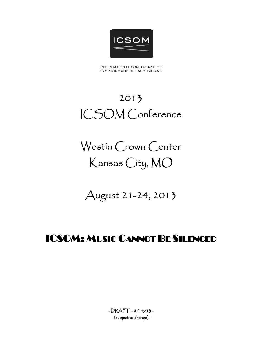

INTERNATIONAL CONFERENCE OF SYMPHONY AND OPERA MUSICIANS

# 2013 ICSOM Conference

Westin Crown Center Kansas City, MO

August 21-24, 2013

# ICSOM: MUSIC CANNOT BE SILENCED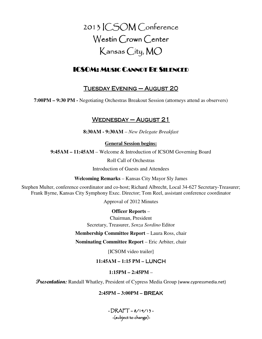2013 ICSOM Conference Westin Crown Center Kansas City, MO

# ICSOM: MUSIC CANNOT BE SILENCED

# TUESDAY EVENING – AUGUST 20

**7:00PM – 9:30 PM -** Negotiating Orchestras Breakout Session (attorneys attend as observers)

# $WEDNESDAY - AUGUST 21$

**8:30AM - 9:30AM** – *New Delegate Breakfast* 

**General Session begins:**

**9:45AM – 11:45AM** – Welcome & Introduction of ICSOM Governing Board

Roll Call of Orchestras

Introduction of Guests and Attendees

**Welcoming Remarks** – Kansas City Mayor Sly James

Stephen Multer, conference coordinator and co-host; Richard Albrecht, Local 34-627 Secretary-Treasurer; Frank Byrne, Kansas City Symphony Exec. Director; Tom Reel, assistant conference coordinator

Approval of 2012 Minutes

**Officer Reports** –

Chairman, President Secretary, Treasurer, *Senza Sordino* Editor

**Membership Committee Report** – Laura Ross, chair

**Nominating Committee Report** – Eric Arbiter, chair

[ICSOM video trailer]

# **11:45AM – 1:15 PM –** LUNCH

# **1:15PM – 2:45PM** –

*Presentation:* Randall Whatley, President of Cypress Media Group (www.cypressmedia.net)

# **2:45PM – 3:00PM –** BREAK

 $-DRATT - 8/14/13 -$ -(subject to change)-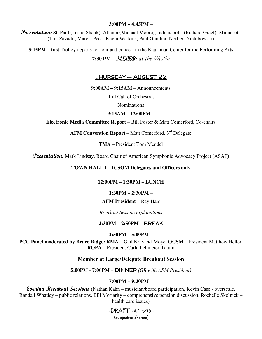#### **3:00PM – 4:45PM** –

**Presentation:** St. Paul (Leslie Shank), Atlanta (Michael Moore), Indianapolis (Richard Graef), Minnesota (Tim Zavadil, Marcia Peck, Kevin Watkins, Paul Gunther, Norbert Nielubowski)

**5:15PM** – first Trolley departs for tour and concert in the Kauffman Center for the Performing Arts

# **7:30 PM –** MIXER: at the Westin

# <u>THURSDAY – AUGUST 22</u>

**9:00AM – 9:15AM** – Announcements

Roll Call of Orchestras

Nominations

**9:15AM – 12:00PM –** 

**Electronic Media Committee Report** – Bill Foster & Matt Comerford, Co-chairs

**AFM Convention Report** – Matt Comerford,  $3<sup>rd</sup>$  Delegate

**TMA** – President Tom Mendel

Presentation: Mark Lindsay, Board Chair of American Symphonic Advocacy Project (ASAP)

#### **TOWN HALL I – ICSOM Delegates and Officers only**

#### **12:00PM – 1:30PM – LUNCH**

#### **1:30PM – 2:30PM** –

#### **AFM President** – Ray Hair

*Breakout Session explanations* 

#### **2:30PM – 2:50PM –** BREAK

**2:50PM – 5:00PM** –

**PCC Panel moderated by Bruce Ridge: RMA** *–* Gail Kruvand-Moye, **OCSM** – President Matthew Heller, **ROPA** – President Carla Lehmeier-Tatum

#### **Member at Large/Delegate Breakout Session**

#### **5:00PM - 7:00PM –** DINNER *(GB with AFM President)*

#### **7:00PM – 9:30PM** –

**Evening Breakout Sessions** (Nathan Kahn – musician/board participation, Kevin Case - overscale, Randall Whatley – public relations, Bill Moriarity – comprehensive pension discussion, Rochelle Skolnick – health care issues)

> $-DRAFT - 8/14/13 -$ -(subject to change)-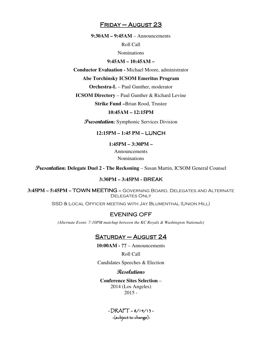#### $F$ RIDAY – AUGUST 23

**9:30AM – 9:45AM** – Announcements

Roll Call

Nominations

**9:45AM – 10:45AM –** 

**Conductor Evaluation -** Michael Moore, administrator

**Abe Torchinsky ICSOM Emeritus Program** 

**Orchestra-L** – Paul Gunther, moderator

**ICSOM Directory** – Paul Gunther & Richard Levine

**Strike Fund –**Brian Rood, Trustee

#### **10:45AM – 12:15PM**

*Presentation:* Symphonic Services Division

**12:15PM – 1:45 PM –** LUNCH

**1:45PM – 3:30PM –** 

Announcements Nominations

Presentation: **Delegate Duel 2 - The Reckoning** – Susan Martin, ICSOM General Counsel

#### **3:30PM – 3:45PM -** BREAK

**3:45PM – 5:45PM –** TOWN MEETING **–** Governing Board, Delegates and Alternate Delegates Only

SSD & Local Officer meeting with Jay Blumenthal (Union Hill)

#### **EVENING OFF**

*(Alternate Event: 7:10PM matchup between the KC Royals & Washington Nationals)* 

#### $SATURDAY - AUGUST 24$

**10:00AM - ??** – Announcements

Roll Call

Candidates Speeches & Election

#### Resolutions

**Conference Sites Selection** – 2014 (Los Angeles) 2015 -

> $-DRAPT - 8/14/13 -$ -(subject to change)-